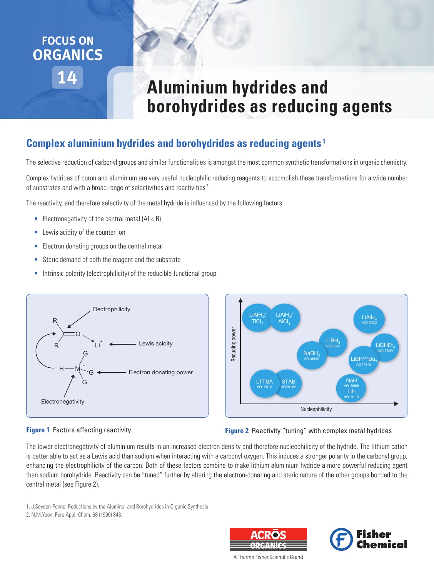## **14 FOCUS ON ORGANICS**

# **Aluminium hydrides and borohydrides as reducing agents**

#### **Complex aluminium hydrides and borohydrides as reducing agents <sup>1</sup>**

The selective reduction of carbonyl groups and similar functionalities is amongst the most common synthetic transformations in organic chemistry.

Complex hydrides of boron and aluminium are very useful nucleophilic reducing reagents to accomplish these transformations for a wide number of substrates and with a broad range of selectivities and reactivities<sup>2</sup>.

The reactivity, and therefore selectivity of the metal hydride is influenced by the following factors:

- **•** Electronegativity of the central metal (Al < B)
- **•** Lewis acidity of the counter ion
- **•** Electron donating groups on the central metal
- **•** Steric demand of both the reagent and the substrate
- Intrinsic polarity (electrophilicity) of the reducible functional group





#### **Figure 1** Factors affecting reactivity

**Figure 2** Reactivity "tuning" with complex metal hydrides

The lower electronegativity of aluminium results in an increased electron density and therefore nucleophilicity of the hydride. The lithium cation is better able to act as a Lewis acid than sodium when interacting with a carbonyl oxygen. This induces a stronger polarity in the carbonyl group, enhancing the electrophilicity of the carbon. Both of these factors combine to make lithium aluminium hydride a more powerful reducing agent than sodium borohydride. Reactivity can be "tuned" further by altering the electron-donating and steric nature of the other groups bonded to the central metal (see Figure 2).

1. J.Seyden-Penne, Reductions by the Alumino- and Borohydrides in Organic Synthesis

2. N.M.Yoon, Pure.Appl. Chem. 68 (1996) 843.





A Thermo Fisher Scientific Brand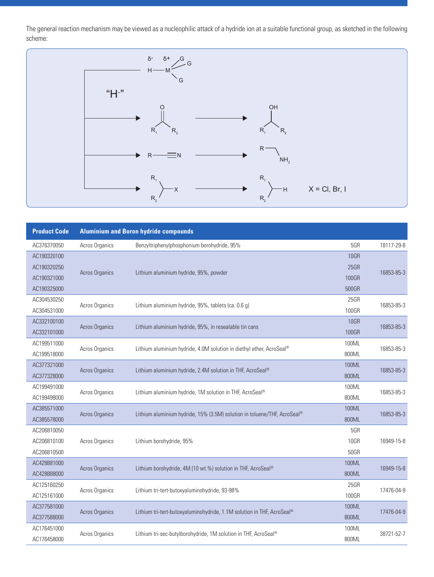The general reaction mechanism may be viewed as a nucleophilic attack of a hydride ion at a suitable functional group, as sketched in the following scheme:



| <b>Product Code</b>                       | <b>Aluminium and Boron hydride compounds</b> |                                                                          |                              |            |  |
|-------------------------------------------|----------------------------------------------|--------------------------------------------------------------------------|------------------------------|------------|--|
| AC376370050                               | Acros Organics                               | Benzyltriphenylphosphonium borohydride, 95%                              | 5GR                          | 18117-29-8 |  |
| AC190320100<br>AC190320250<br>AC190321000 | Acros Organics                               | Lithium aluminium hydride, 95%, powder                                   | <b>10GR</b><br>25GR<br>100GR | 16853-85-3 |  |
| AC190325000                               |                                              |                                                                          | 500GR                        |            |  |
| AC304530250<br>AC304531000                | Acros Organics                               | Lithium aluminium hydride, 95%, tablets (ca. 0.6 g)                      | 25GR<br>100GR                | 16853-85-3 |  |
| AC332100100<br>AC332101000                | Acros Organics                               | Lithium aluminium hydride, 95%, in resealable tin cans                   | <b>10GR</b><br>100GR         | 16853-85-3 |  |
| AC199511000<br>AC199518000                | Acros Organics                               | Lithium aluminium hydride, 4.0M solution in diethyl ether, AcroSeal®     | 100ML<br>800ML               | 16853-85-3 |  |
| AC377321000<br>AC377328000                | <b>Acros Organics</b>                        | Lithium aluminium hydride, 2.4M solution in THF, AcroSeal®               | 100ML<br>800ML               | 16853-85-3 |  |
| AC199491000<br>AC199498000                | Acros Organics                               | Lithium aluminium hydride, 1M solution in THF, AcroSeal®                 | 100ML<br>800ML               | 16853-85-3 |  |
| AC385571000<br>AC385578000                | Acros Organics                               | Lithium aluminium hydride, 15% (3.5M) solution in toluene/THF, AcroSeal® | 100ML<br>800ML               | 16853-85-3 |  |
| AC206810050<br>AC206810100<br>AC206810500 | Acros Organics                               | Lithium borohydride, 95%                                                 | 5GR<br><b>10GR</b><br>50GR   | 16949-15-8 |  |
| AC428881000<br>AC428888000                | <b>Acros Organics</b>                        | Lithium borohydride, 4M (10 wt.%) solution in THF, AcroSeal®             | 100ML<br>800ML               | 16949-15-8 |  |
| AC125160250<br>AC125161000                | Acros Organics                               | Lithium tri-tert-butoxyaluminohydride, 93-98%                            | 25GR<br>100GR                | 17476-04-9 |  |
| AC377581000<br>AC377588000                | <b>Acros Organics</b>                        | Lithium tri-tert-butoxyaluminohydride, 1.1M solution in THF, AcroSeal®   | 100ML<br>800ML               | 17476-04-9 |  |
| AC176451000<br>AC176458000                | Acros Organics                               | Lithium tri-sec-butylborohydride, 1M solution in THF, AcroSeal®          | 100ML<br>800ML               | 38721-52-7 |  |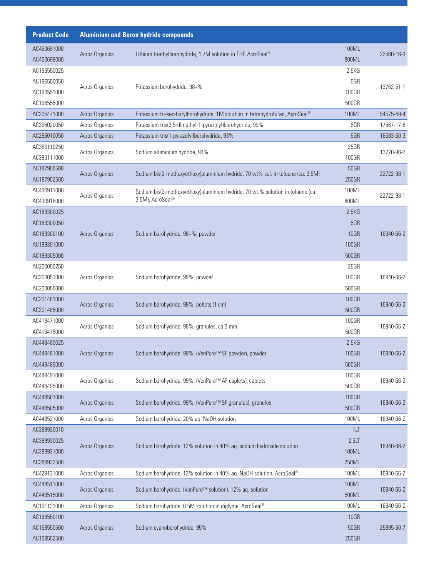| <b>Product Code</b>        | <b>Aluminium and Boron hydride compounds</b> |                                                                                 |                |            |  |
|----------------------------|----------------------------------------------|---------------------------------------------------------------------------------|----------------|------------|--|
| AC450691000                |                                              |                                                                                 | 100ML          |            |  |
| AC450698000                | Acros Organics                               | Lithium triethylborohydride, 1.7M solution in THF, AcroSeal®                    | 800ML          | 22560-16-3 |  |
| AC196550025                |                                              |                                                                                 | 2.5KG          |            |  |
| AC196550050                | Acros Organics                               | Potassium borohydride, 98+%                                                     | 5GR            | 13762-51-1 |  |
| AC196551000                |                                              |                                                                                 | 100GR          |            |  |
| AC196555000                |                                              |                                                                                 | 500GR          |            |  |
| AC205471000                | Acros Organics                               | Potassium tri-sec-butylborohydride, 1M solution in tetrahydrofuran, AcroSeal®   | 100ML          | 54575-49-4 |  |
| AC296020050                | Acros Organics                               | Potassium tris(3,5-dimethyl-1-pyrazolyl)borohydride, 99%                        | 5GR            | 17567-17-8 |  |
| AC296010050                | Acros Organics                               | Potassium tris(1-pyrazolyl)borohydride, 93%                                     | 5GR            | 18583-60-3 |  |
| AC380110250                | Acros Organics                               | Sodium aluminium hydride, 93%                                                   | 25GR           | 13770-96-2 |  |
| AC380111000                |                                              |                                                                                 | 100GR          |            |  |
| AC187900500                | Acros Organics                               | Sodium bis(2-methoxyethoxy)aluminium hydride, 70 wt% sol. in toluene (ca. 3.5M) | <b>50GR</b>    | 22722-98-1 |  |
| AC187902500                |                                              |                                                                                 | 250GR          |            |  |
| AC430911000                | Acros Organics                               | Sodium bis(2-methoxyethoxy)aluminium hydride, 70 wt.% solution in toluene (ca.  | 100ML          | 22722-98-1 |  |
| AC430918000                |                                              | 3.5M), AcroSeal®                                                                | 800ML          |            |  |
| AC189300025                |                                              |                                                                                 | 2.5KG          |            |  |
| AC189300050                |                                              |                                                                                 | 5GR            |            |  |
| AC189300100                | <b>Acros Organics</b>                        | Sodium borohydride, 98+%, powder                                                | <b>10GR</b>    | 16940-66-2 |  |
| AC189301000                |                                              |                                                                                 | 100GR          |            |  |
| AC189305000                |                                              |                                                                                 | 500GR          |            |  |
| AC200050250                |                                              |                                                                                 | 25GR           |            |  |
| AC200051000                | Acros Organics                               | Sodium borohydride, 99%, powder                                                 | 100GR          | 16940-66-2 |  |
| AC200055000                |                                              |                                                                                 | 500GR          |            |  |
| AC201481000                | Acros Organics                               | Sodium borohydride, 98%, pellets (1 cm)                                         | 100GR          | 16940-66-2 |  |
| AC201485000                |                                              |                                                                                 | 500GR          |            |  |
| AC419471000                | Acros Organics                               | Sodium borohydride, 98%, granules, ca 3 mm                                      | 100GR          | 16940-66-2 |  |
| AC419475000                |                                              |                                                                                 | 500GR          |            |  |
| AC448480025                |                                              |                                                                                 | 2.5KG          |            |  |
| AC448481000                | <b>Acros Organics</b>                        | Sodium borohydride, 99%, (VenPure™ SF powder), powder                           | 100GR          | 16940-66-2 |  |
| AC448485000                |                                              |                                                                                 | 500GR          |            |  |
| AC448491000                | Acros Organics                               | Sodium borohydride, 99%, (VenPure™ AF caplets), caplets                         | 100GR          | 16940-66-2 |  |
| AC448495000                |                                              |                                                                                 | 500GR          |            |  |
| AC448501000<br>AC448505000 | Acros Organics                               | Sodium borohydride, 99%, (VenPure™ SF granules), granules                       | 100GR<br>500GR | 16940-66-2 |  |
| AC448521000                | Acros Organics                               | Sodium borohydride, 20% aq. NaOH solution                                       | 100ML          | 16940-66-2 |  |
| AC389930010                |                                              |                                                                                 | 1LT            |            |  |
| AC389930025                |                                              |                                                                                 | 2.5LT          |            |  |
| AC389931000                | Acros Organics                               | Sodium borohydride, 12% solution in 40% ag. sodium hydroxide solution           | 100ML          | 16940-66-2 |  |
| AC389932500                |                                              |                                                                                 | 250ML          |            |  |
| AC429131000                | Acros Organics                               | Sodium borohydride, 12% solution in 40% aq. NaOH solution, AcroSeal®            | 100ML          | 16940-66-2 |  |
| AC448511000                |                                              |                                                                                 | 100ML          |            |  |
|                            | Acros Organics                               | Sodium borohydride, (VenPure™ solution), 12% aq. solution                       |                | 16940-66-2 |  |
| AC448515000<br>AC191131000 | Acros Organics                               | Sodium borohydride, 0.5M solution in diglyme, AcroSeal®                         | 500ML<br>100ML | 16940-66-2 |  |
| AC168550100                |                                              |                                                                                 | <b>10GR</b>    |            |  |
| AC168550500                | <b>Acros Organics</b>                        | Sodium cyanoborohydride, 95%                                                    | <b>50GR</b>    | 25895-60-7 |  |
|                            |                                              |                                                                                 |                |            |  |
| AC168552500                |                                              |                                                                                 | 250GR          |            |  |